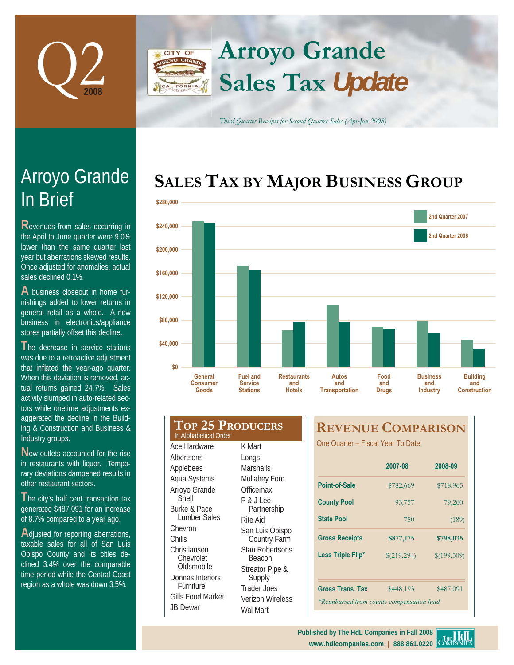

## **Arroyo Grande** CITY OF **Sales Tax** *Update* LIFORNIA

*Third Quarter Receipts for Second Quarter Sales (Apr-Jun 2008)*

## SALES TAX BY MAJOR BUSINESS GROUP



| \$160,000               |                                       |                                                      |                                            |                                                             |                             |                                           |  |
|-------------------------|---------------------------------------|------------------------------------------------------|--------------------------------------------|-------------------------------------------------------------|-----------------------------|-------------------------------------------|--|
| \$120,000               |                                       |                                                      |                                            |                                                             |                             |                                           |  |
| \$80,000                |                                       |                                                      |                                            |                                                             |                             |                                           |  |
| \$40,000                |                                       |                                                      |                                            |                                                             |                             |                                           |  |
| \$0                     | General<br><b>Consumer</b><br>Goods   | <b>Fuel and</b><br><b>Service</b><br><b>Stations</b> | <b>Restaurants</b><br>and<br><b>Hotels</b> | <b>Autos</b><br>and<br><b>Transportation</b>                | Food<br>and<br><b>Drugs</b> | <b>Business</b><br>and<br><b>Industry</b> |  |
|                         | In Alphabetical Order<br>Ace Hardware | <b>TOP 25 PRODUCERS</b><br>K Mart                    |                                            | <b>REVENUE COMPARI</b><br>One Quarter - Fiscal Year To Date |                             |                                           |  |
| Albertsons<br>Applebees |                                       | Longs<br><b>Marshalls</b>                            |                                            |                                                             | 2007-08                     | 20                                        |  |
|                         | Aqua Systems<br>Arroyo Grande         | Mullahey Ford<br>Officemax                           |                                            | <b>Point-of-Sale</b>                                        | \$782,669                   | $\mathbb{S}$                              |  |
| Shell                   |                                       | $P R$ , $I$ $A$                                      |                                            | $P_{\text{c}}$ and $P_{\text{c}}$ and $P_{\text{c}}$        | 02.757                      |                                           |  |

**The city's half cent transaction tax** generated \$487,091 for an increase of 8.7% compared to a year ago.

**A**djusted for reporting aberrations, taxable sales for all of San Luis Obispo County and its cities declined 3.4% over the comparable time period while the Central Coast region as a whole was down 3.5%.

Burke & Pace Lumber Sales Chevron Christianson Chevrolet Oldsmobile Donnas Interiors **Furniture** Gills Food Market JB Dewar P & J Lee Partnership Rite Aid San Luis Obispo Country Farm Stan Robertsons Beacon Streator Pipe & Supply Trader Joes Verizon Wireless Wal Mart

## **REVENUE COMPARISON**

|                                           | 2007-08     | 2008-09     |  |  |  |  |  |
|-------------------------------------------|-------------|-------------|--|--|--|--|--|
| Point-of-Sale                             | \$782,669   | \$718,965   |  |  |  |  |  |
| <b>County Pool</b>                        | 93,757      | 79,260      |  |  |  |  |  |
| <b>State Pool</b>                         | 750         | (189)       |  |  |  |  |  |
| <b>Gross Receipts</b>                     | \$877,175   | \$798,035   |  |  |  |  |  |
| Less Triple Flip*                         | \$(219,294) | \$(199,509) |  |  |  |  |  |
|                                           |             |             |  |  |  |  |  |
| <b>Gross Trans. Tax</b>                   | \$448,193   | \$487,091   |  |  |  |  |  |
| *Reimbursed from county compensation fund |             |             |  |  |  |  |  |



# In Brief Arroyo Grande

**R**evenues from sales occurring in the April to June quarter were 9.0% lower than the same quarter last year but aberrations skewed results. Once adjusted for anomalies, actual sales declined 0.1%.

**A** business closeout in home furnishings added to lower returns in general retail as a whole. A new business in electronics/appliance stores partially offset this decline.

**The decrease in service stations** was due to a retroactive adjustment that inflated the year-ago quarter. When this deviation is removed, actual returns gained 24.7%. Sales activity slumped in auto-related sectors while onetime adjustments exaggerated the decline in the Building & Construction and Business & Industry groups.

**N**ew outlets accounted for the rise in restaurants with liquor. Temporary deviations dampened results in other restaurant sectors.

Chilis